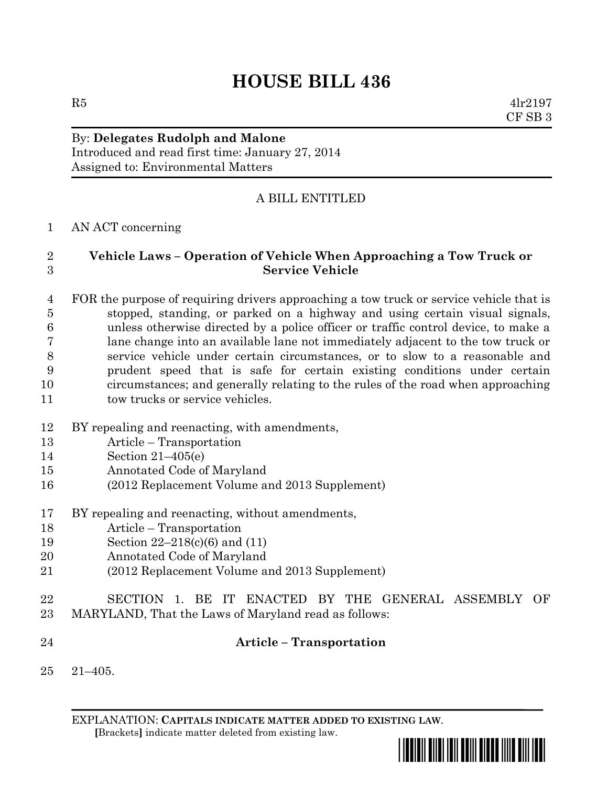# **HOUSE BILL 436**

 $R5$  4lr2197 CF SB 3

#### By: **Delegates Rudolph and Malone** Introduced and read first time: January 27, 2014

Assigned to: Environmental Matters

## A BILL ENTITLED

#### AN ACT concerning

### **Vehicle Laws – Operation of Vehicle When Approaching a Tow Truck or Service Vehicle**

 FOR the purpose of requiring drivers approaching a tow truck or service vehicle that is stopped, standing, or parked on a highway and using certain visual signals, unless otherwise directed by a police officer or traffic control device, to make a lane change into an available lane not immediately adjacent to the tow truck or service vehicle under certain circumstances, or to slow to a reasonable and prudent speed that is safe for certain existing conditions under certain circumstances; and generally relating to the rules of the road when approaching 11 tow trucks or service vehicles.

- BY repealing and reenacting, with amendments,
- Article Transportation
- Section 21–405(e)
- Annotated Code of Maryland
- (2012 Replacement Volume and 2013 Supplement)
- BY repealing and reenacting, without amendments,
- Article Transportation
- Section 22–218(c)(6) and (11)
- Annotated Code of Maryland
- (2012 Replacement Volume and 2013 Supplement)
- SECTION 1. BE IT ENACTED BY THE GENERAL ASSEMBLY OF MARYLAND, That the Laws of Maryland read as follows:
- **Article – Transportation**
- 21–405.

EXPLANATION: **CAPITALS INDICATE MATTER ADDED TO EXISTING LAW**.  **[**Brackets**]** indicate matter deleted from existing law.